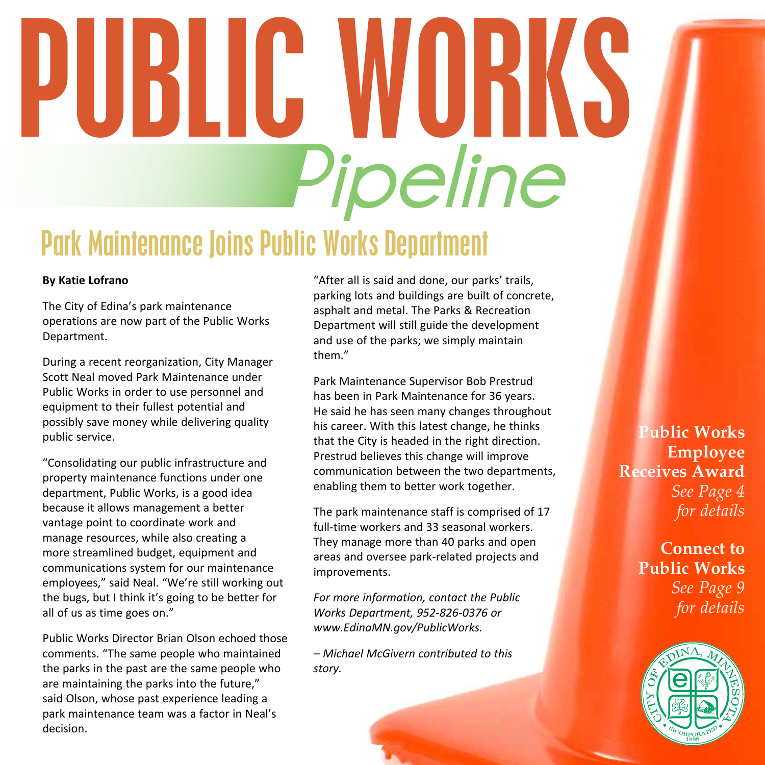# **Pipeline** PUBLIC WORKS

#### Park Maintenance Joins Public Works Department

#### **By Katie Lofrano**

The City of Edina's park maintenance operations are now part of the Public Works Department.

During a recent reorganization, City Manager Scott Neal moved Park Maintenance under Public Works in order to use personnel and equipment to their fullest potential and possibly save money while delivering quality public service.

"Consolidating our public infrastructure and property maintenance functions under one department, Public Works, is a good idea because it allows management a better vantage point to coordinate work and manage resources, while also creating a more streamlined budget, equipment and communications system for our maintenance employees," said Neal. "We're still working out the bugs, but I think it's going to be better for all of us as time goes on."

Public Works Director Brian Olson echoed those comments. "The same people who maintained the parks in the past are the same people who are maintaining the parks into the future," said Olson, whose past experience leading a park maintenance team was a factor in Neal's decision.

"After all is said and done, our parks' trails, parking lots and buildings are built of concrete, asphalt and metal. The Parks & Recreation Department will still guide the development and use of the parks; we simply maintain them"

Park Maintenance Supervisor Bob Prestrud has been in Park Maintenance for 36 years. He said he has seen many changes throughout his career. With this latest change, he thinks that the City is headed in the right direction. Prestrud believes this change will improve communication between the two departments, enabling them to better work together.

The park maintenance staff is comprised of 17 full-time workers and 33 seasonal workers. They manage more than 40 parks and open areas and oversee park-related projects and improvements.

*For more information, contact the Public Works Department, 952-826-0376 or www.EdinaMN.gov/PublicWorks.*

*– Michael McGivern contributed to this story.*

**Public Works Employee Receives Award** *See Page 4 for details*

> **Connect to Public Works** *See Page 9 for details*

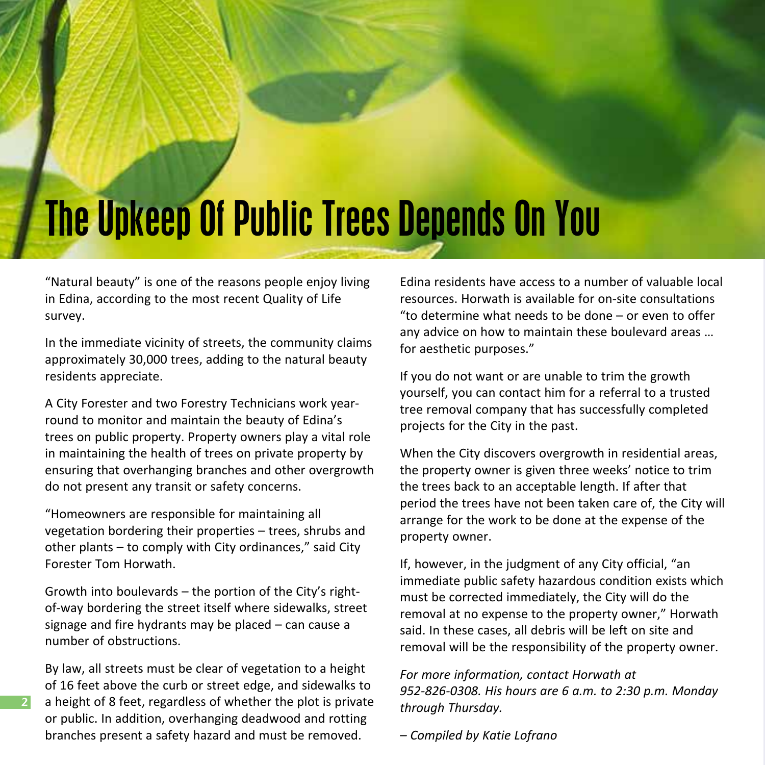## The Upkeep Of Public Trees Depends On You

"Natural beauty" is one of the reasons people enjoy living in Edina, according to the most recent Quality of Life survey.

In the immediate vicinity of streets, the community claims approximately 30,000 trees, adding to the natural beauty residents appreciate.

A City Forester and two Forestry Technicians work yearround to monitor and maintain the beauty of Edina's trees on public property. Property owners play a vital role in maintaining the health of trees on private property by ensuring that overhanging branches and other overgrowth do not present any transit or safety concerns.

"Homeowners are responsible for maintaining all vegetation bordering their properties – trees, shrubs and other plants – to comply with City ordinances," said City Forester Tom Horwath.

Growth into boulevards – the portion of the City's rightof-way bordering the street itself where sidewalks, street signage and fire hydrants may be placed – can cause a number of obstructions.

By law, all streets must be clear of vegetation to a height of 16 feet above the curb or street edge, and sidewalks to a height of 8 feet, regardless of whether the plot is private or public. In addition, overhanging deadwood and rotting branches present a safety hazard and must be removed.

**2**

Edina residents have access to a number of valuable local resources. Horwath is available for on-site consultations "to determine what needs to be done – or even to offer any advice on how to maintain these boulevard areas … for aesthetic purposes."

If you do not want or are unable to trim the growth yourself, you can contact him for a referral to a trusted tree removal company that has successfully completed projects for the City in the past.

When the City discovers overgrowth in residential areas, the property owner is given three weeks' notice to trim the trees back to an acceptable length. If after that period the trees have not been taken care of, the City will arrange for the work to be done at the expense of the property owner.

If, however, in the judgment of any City official, "an immediate public safety hazardous condition exists which must be corrected immediately, the City will do the removal at no expense to the property owner," Horwath said. In these cases, all debris will be left on site and removal will be the responsibility of the property owner.

*For more information, contact Horwath at 952-826-0308. His hours are 6 a.m. to 2:30 p.m. Monday through Thursday.*

*– Compiled by Katie Lofrano*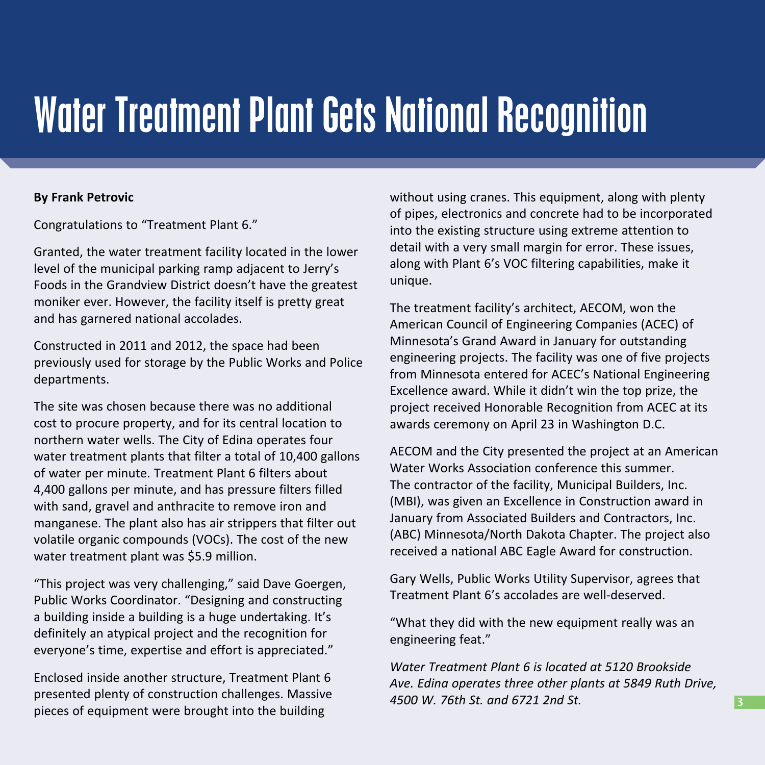#### Water Treatment Plant Gets National Recognition

#### **By Frank Petrovic**

Congratulations to "Treatment Plant 6."

Granted, the water treatment facility located in the lower level of the municipal parking ramp adjacent to Jerry's Foods in the Grandview District doesn't have the greatest moniker ever. However, the facility itself is pretty great and has garnered national accolades.

Constructed in 2011 and 2012, the space had been previously used for storage by the Public Works and Police departments.

The site was chosen because there was no additional cost to procure property, and for its central location to northern water wells. The City of Edina operates four water treatment plants that filter a total of 10,400 gallons of water per minute. Treatment Plant 6 filters about 4,400 gallons per minute, and has pressure filters filled with sand, gravel and anthracite to remove iron and manganese. The plant also has air strippers that filter out volatile organic compounds (VOCs). The cost of the new water treatment plant was \$5.9 million.

"This project was very challenging," said Dave Goergen, Public Works Coordinator. "Designing and constructing a building inside a building is a huge undertaking. It's definitely an atypical project and the recognition for everyone's time, expertise and effort is appreciated."

Enclosed inside another structure, Treatment Plant 6 presented plenty of construction challenges. Massive pieces of equipment were brought into the building

without using cranes. This equipment, along with plenty of pipes, electronics and concrete had to be incorporated into the existing structure using extreme attention to detail with a very small margin for error. These issues, along with Plant 6's VOC filtering capabilities, make it unique.

The treatment facility's architect, AECOM, won the American Council of Engineering Companies (ACEC) of Minnesota's Grand Award in January for outstanding engineering projects. The facility was one of five projects from Minnesota entered for ACEC's National Engineering Excellence award. While it didn't win the top prize, the project received Honorable Recognition from ACEC at its awards ceremony on April 23 in Washington D.C.

AECOM and the City presented the project at an American Water Works Association conference this summer. The contractor of the facility, Municipal Builders, Inc. (MBI), was given an Excellence in Construction award in January from Associated Builders and Contractors, Inc. (ABC) Minnesota/North Dakota Chapter. The project also received a national ABC Eagle Award for construction.

Gary Wells, Public Works Utility Supervisor, agrees that Treatment Plant 6's accolades are well-deserved.

"What they did with the new equipment really was an engineering feat."

*Water Treatment Plant 6 is located at 5120 Brookside Ave. Edina operates three other plants at 5849 Ruth Drive, 4500 W. 76th St. and 6721 2nd St.*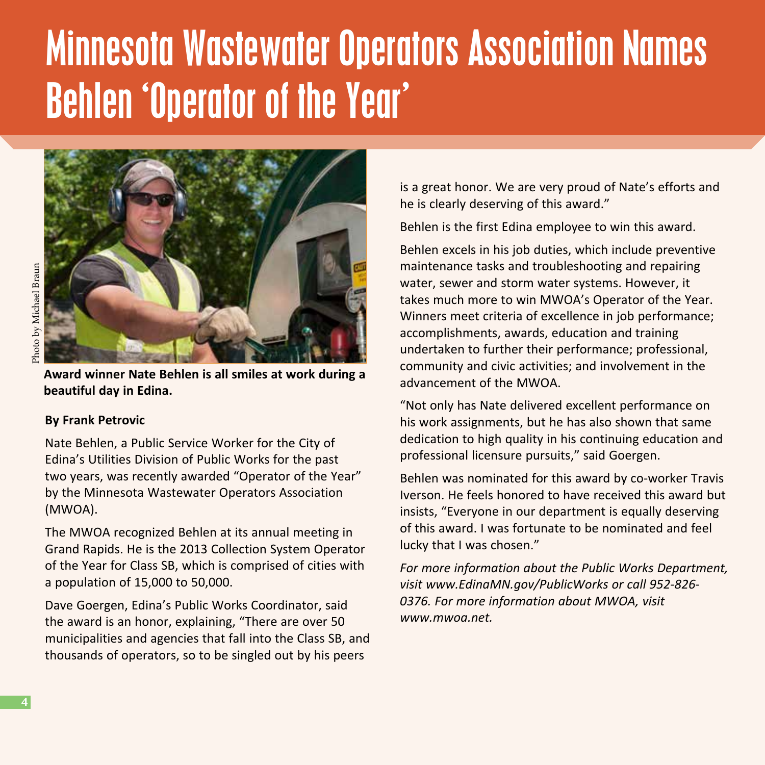### Minnesota Wastewater Operators Association Names Behlen 'Operator of the Year'



**Award winner Nate Behlen is all smiles at work during a beautiful day in Edina.** 

#### **By Frank Petrovic**

Nate Behlen, a Public Service Worker for the City of Edina's Utilities Division of Public Works for the past two years, was recently awarded "Operator of the Year" by the Minnesota Wastewater Operators Association (MWOA).

The MWOA recognized Behlen at its annual meeting in Grand Rapids. He is the 2013 Collection System Operator of the Year for Class SB, which is comprised of cities with a population of 15,000 to 50,000.

Dave Goergen, Edina's Public Works Coordinator, said the award is an honor, explaining, "There are over 50 municipalities and agencies that fall into the Class SB, and thousands of operators, so to be singled out by his peers

is a great honor. We are very proud of Nate's efforts and he is clearly deserving of this award."

Behlen is the first Edina employee to win this award.

Behlen excels in his job duties, which include preventive maintenance tasks and troubleshooting and repairing water, sewer and storm water systems. However, it takes much more to win MWOA's Operator of the Year. Winners meet criteria of excellence in job performance; accomplishments, awards, education and training undertaken to further their performance; professional, community and civic activities; and involvement in the advancement of the MWOA.

"Not only has Nate delivered excellent performance on his work assignments, but he has also shown that same dedication to high quality in his continuing education and professional licensure pursuits," said Goergen.

Behlen was nominated for this award by co-worker Travis Iverson. He feels honored to have received this award but insists, "Everyone in our department is equally deserving of this award. I was fortunate to be nominated and feel lucky that I was chosen."

*For more information about the Public Works Department, visit www.EdinaMN.gov/PublicWorks or call 952-826- 0376. For more information about MWOA, visit www.mwoa.net.*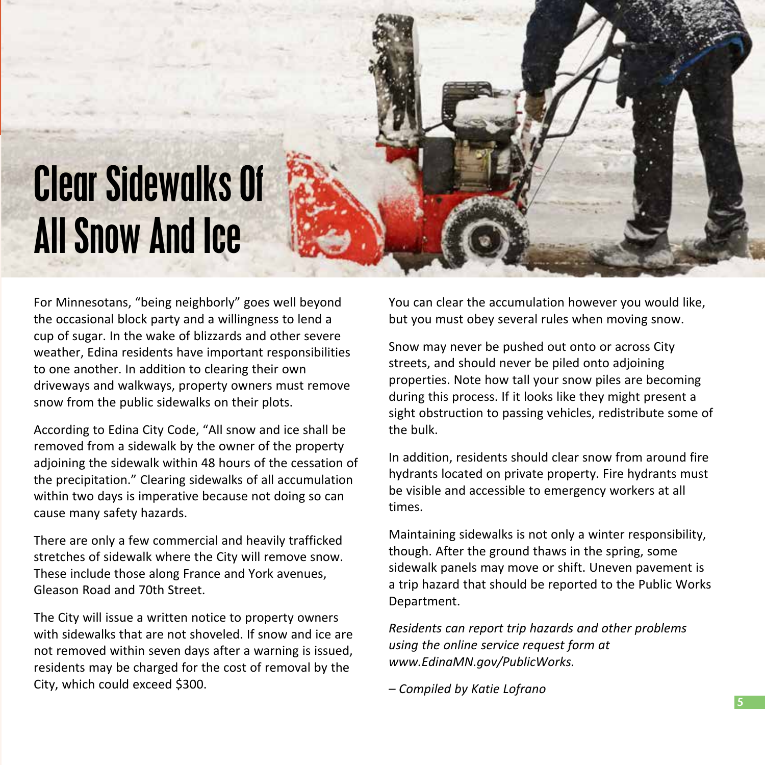### Clear Sidewalks Of All Snow And Ice

For Minnesotans, "being neighborly" goes well beyond the occasional block party and a willingness to lend a cup of sugar. In the wake of blizzards and other severe weather, Edina residents have important responsibilities to one another. In addition to clearing their own driveways and walkways, property owners must remove snow from the public sidewalks on their plots.

According to Edina City Code, "All snow and ice shall be removed from a sidewalk by the owner of the property adjoining the sidewalk within 48 hours of the cessation of the precipitation." Clearing sidewalks of all accumulation within two days is imperative because not doing so can cause many safety hazards.

There are only a few commercial and heavily trafficked stretches of sidewalk where the City will remove snow. These include those along France and York avenues, Gleason Road and 70th Street.

The City will issue a written notice to property owners with sidewalks that are not shoveled. If snow and ice are not removed within seven days after a warning is issued, residents may be charged for the cost of removal by the City, which could exceed \$300.

You can clear the accumulation however you would like, but you must obey several rules when moving snow.

Snow may never be pushed out onto or across City streets, and should never be piled onto adjoining properties. Note how tall your snow piles are becoming during this process. If it looks like they might present a sight obstruction to passing vehicles, redistribute some of the bulk.

In addition, residents should clear snow from around fire hydrants located on private property. Fire hydrants must be visible and accessible to emergency workers at all times.

Maintaining sidewalks is not only a winter responsibility, though. After the ground thaws in the spring, some sidewalk panels may move or shift. Uneven pavement is a trip hazard that should be reported to the Public Works Department.

*Residents can report trip hazards and other problems using the online service request form at www.EdinaMN.gov/PublicWorks.*

*– Compiled by Katie Lofrano*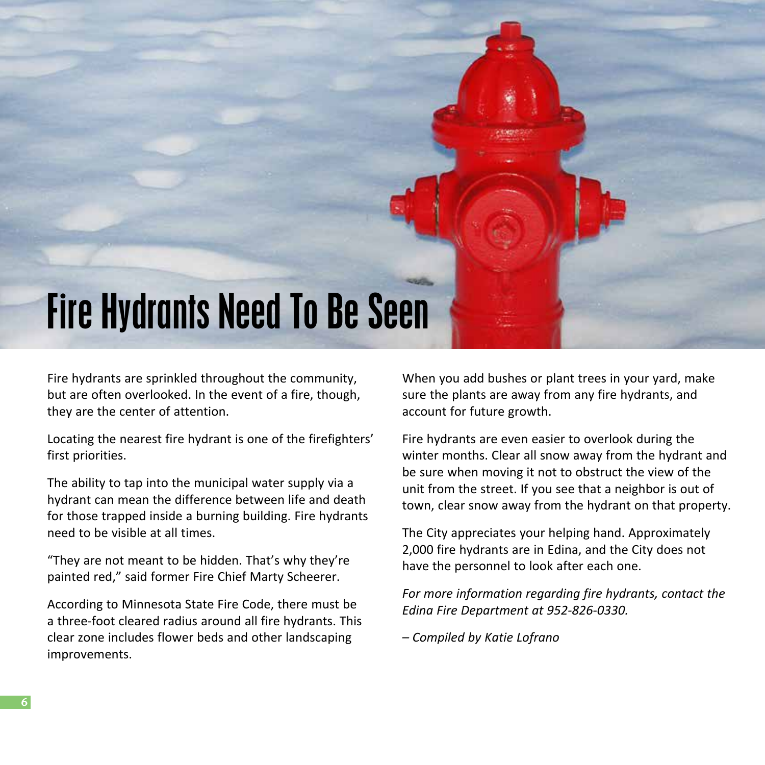

Fire hydrants are sprinkled throughout the community, but are often overlooked. In the event of a fire, though, they are the center of attention.

Locating the nearest fire hydrant is one of the firefighters' first priorities.

The ability to tap into the municipal water supply via a hydrant can mean the difference between life and death for those trapped inside a burning building. Fire hydrants need to be visible at all times.

"They are not meant to be hidden. That's why they're painted red," said former Fire Chief Marty Scheerer.

According to Minnesota State Fire Code, there must be a three-foot cleared radius around all fire hydrants. This clear zone includes flower beds and other landscaping improvements.

When you add bushes or plant trees in your yard, make sure the plants are away from any fire hydrants, and account for future growth.

Fire hydrants are even easier to overlook during the winter months. Clear all snow away from the hydrant and be sure when moving it not to obstruct the view of the unit from the street. If you see that a neighbor is out of town, clear snow away from the hydrant on that property.

The City appreciates your helping hand. Approximately 2,000 fire hydrants are in Edina, and the City does not have the personnel to look after each one.

*For more information regarding fire hydrants, contact the Edina Fire Department at 952-826-0330.*

*– Compiled by Katie Lofrano*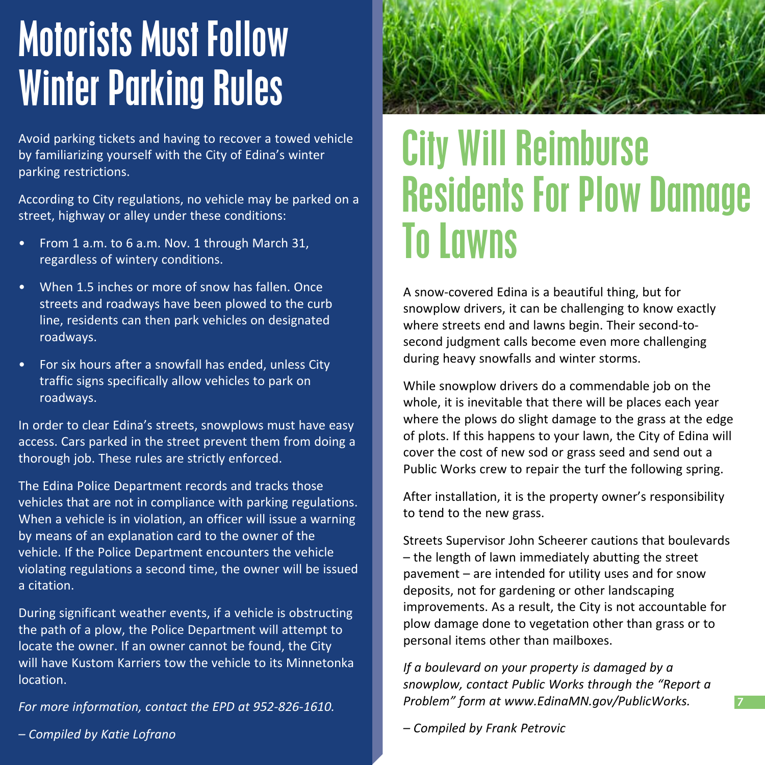### Motorists Must Follow Winter Parking Rules

Avoid parking tickets and having to recover a towed vehicle by familiarizing yourself with the City of Edina's winter parking restrictions.

According to City regulations, no vehicle may be parked on a street, highway or alley under these conditions:

- From 1 a.m. to 6 a.m. Nov. 1 through March 31, regardless of wintery conditions.
- When 1.5 inches or more of snow has fallen. Once streets and roadways have been plowed to the curb line, residents can then park vehicles on designated roadways.
- For six hours after a snowfall has ended, unless City traffic signs specifically allow vehicles to park on roadways.

In order to clear Edina's streets, snowplows must have easy access. Cars parked in the street prevent them from doing a thorough job. These rules are strictly enforced.

The Edina Police Department records and tracks those vehicles that are not in compliance with parking regulations. When a vehicle is in violation, an officer will issue a warning by means of an explanation card to the owner of the vehicle. If the Police Department encounters the vehicle violating regulations a second time, the owner will be issued a citation.

During significant weather events, if a vehicle is obstructing the path of a plow, the Police Department will attempt to locate the owner. If an owner cannot be found, the City will have Kustom Karriers tow the vehicle to its Minnetonka location.

*For more information, contact the EPD at 952-826-1610.*

*– Compiled by Katie Lofrano* 



#### City Will Reimburse Residents For Plow Damage To Lawns

A snow-covered Edina is a beautiful thing, but for snowplow drivers, it can be challenging to know exactly where streets end and lawns begin. Their second-tosecond judgment calls become even more challenging during heavy snowfalls and winter storms.

While snowplow drivers do a commendable job on the whole, it is inevitable that there will be places each year where the plows do slight damage to the grass at the edge of plots. If this happens to your lawn, the City of Edina will cover the cost of new sod or grass seed and send out a Public Works crew to repair the turf the following spring.

After installation, it is the property owner's responsibility to tend to the new grass.

Streets Supervisor John Scheerer cautions that boulevards – the length of lawn immediately abutting the street pavement – are intended for utility uses and for snow deposits, not for gardening or other landscaping improvements. As a result, the City is not accountable for plow damage done to vegetation other than grass or to personal items other than mailboxes.

*If a boulevard on your property is damaged by a snowplow, contact Public Works through the "Report a Problem" form at www.EdinaMN.gov/PublicWorks.*

**7**

*– Compiled by Frank Petrovic*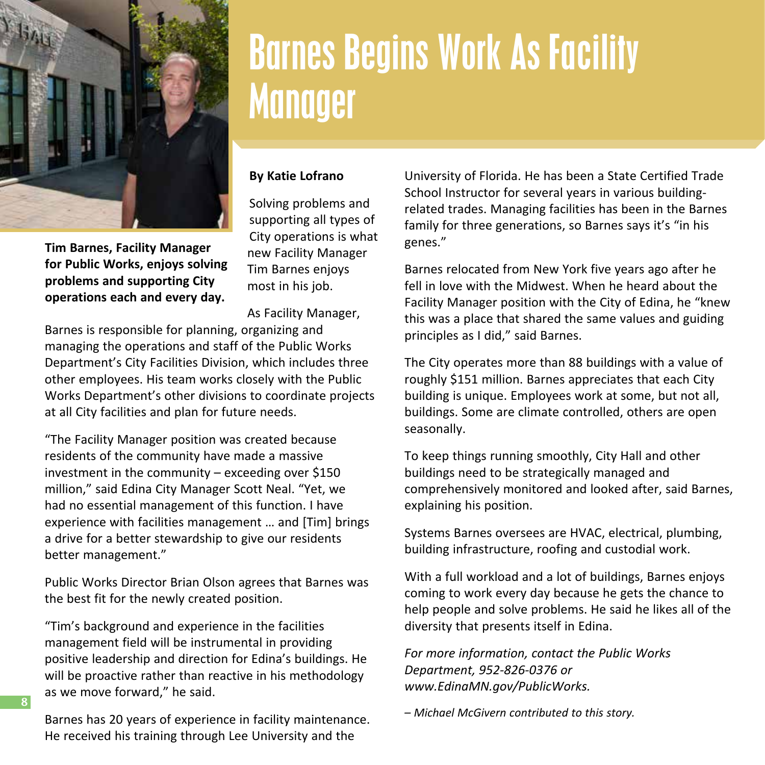

**for Public Works, enjoys solving problems and supporting City operations each and every day.** 

Barnes Begins Work As Facility **Manager** 

#### **By Katie Lofrano**

Solving problems and supporting all types of City operations is what new Facility Manager Tim Barnes enjoys most in his job.

As Facility Manager,

Barnes is responsible for planning, organizing and managing the operations and staff of the Public Works Department's City Facilities Division, which includes three other employees. His team works closely with the Public Works Department's other divisions to coordinate projects at all City facilities and plan for future needs.

"The Facility Manager position was created because residents of the community have made a massive investment in the community  $-$  exceeding over \$150 million," said Edina City Manager Scott Neal. "Yet, we had no essential management of this function. I have experience with facilities management … and [Tim] brings a drive for a better stewardship to give our residents better management."

Public Works Director Brian Olson agrees that Barnes was the best fit for the newly created position.

"Tim's background and experience in the facilities management field will be instrumental in providing positive leadership and direction for Edina's buildings. He will be proactive rather than reactive in his methodology as we move forward," he said.

Barnes has 20 years of experience in facility maintenance. He received his training through Lee University and the

**8**

University of Florida. He has been a State Certified Trade School Instructor for several years in various buildingrelated trades. Managing facilities has been in the Barnes family for three generations, so Barnes says it's "in his genes."

Barnes relocated from New York five years ago after he fell in love with the Midwest. When he heard about the Facility Manager position with the City of Edina, he "knew this was a place that shared the same values and guiding principles as I did," said Barnes.

The City operates more than 88 buildings with a value of roughly \$151 million. Barnes appreciates that each City building is unique. Employees work at some, but not all, buildings. Some are climate controlled, others are open seasonally.

To keep things running smoothly, City Hall and other buildings need to be strategically managed and comprehensively monitored and looked after, said Barnes, explaining his position.

Systems Barnes oversees are HVAC, electrical, plumbing, building infrastructure, roofing and custodial work.

With a full workload and a lot of buildings, Barnes enjoys coming to work every day because he gets the chance to help people and solve problems. He said he likes all of the diversity that presents itself in Edina.

*For more information, contact the Public Works Department, 952-826-0376 or www.EdinaMN.gov/PublicWorks.*

*– Michael McGivern contributed to this story.*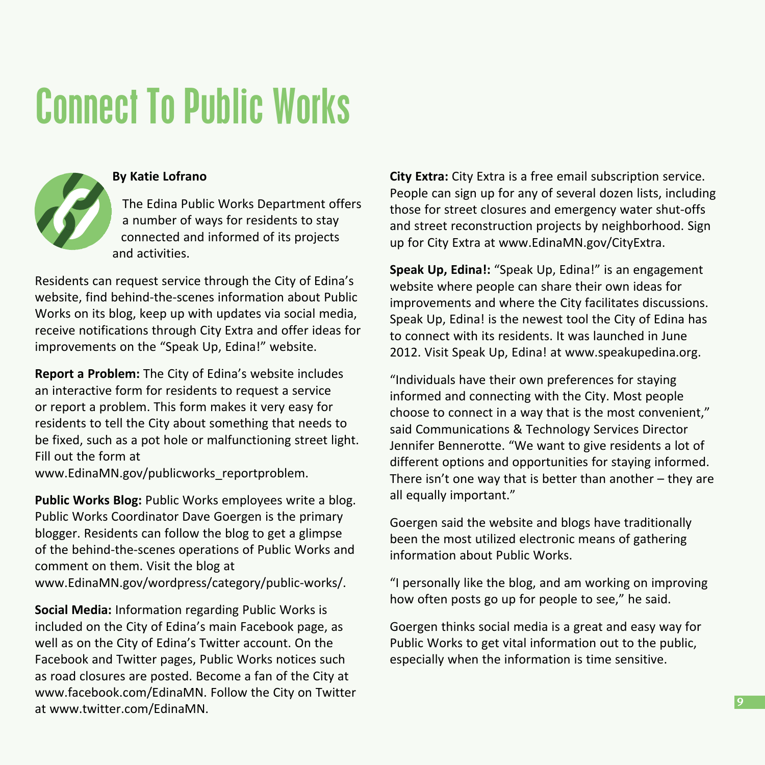### Connect To Public Works



#### **By Katie Lofrano**

The Edina Public Works Department offers a number of ways for residents to stay connected and informed of its projects and activities.

Residents can request service through the City of Edina's website, find behind-the-scenes information about Public Works on its blog, keep up with updates via social media, receive notifications through City Extra and offer ideas for improvements on the "Speak Up, Edina!" website.

**Report a Problem:** The City of Edina's website includes an interactive form for residents to request a service or report a problem. This form makes it very easy for residents to tell the City about something that needs to be fixed, such as a pot hole or malfunctioning street light. Fill out the form at

www.EdinaMN.gov/publicworks\_reportproblem.

**Public Works Blog:** Public Works employees write a blog. Public Works Coordinator Dave Goergen is the primary blogger. Residents can follow the blog to get a glimpse of the behind-the-scenes operations of Public Works and comment on them. Visit the blog at www.EdinaMN.gov/wordpress/category/public-works/.

**Social Media:** Information regarding Public Works is included on the City of Edina's main Facebook page, as well as on the City of Edina's Twitter account. On the Facebook and Twitter pages, Public Works notices such as road closures are posted. Become a fan of the City at www.facebook.com/EdinaMN. Follow the City on Twitter at www.twitter.com/EdinaMN.

**City Extra:** City Extra is a free email subscription service. People can sign up for any of several dozen lists, including those for street closures and emergency water shut-offs and street reconstruction projects by neighborhood. Sign up for City Extra at www.EdinaMN.gov/CityExtra.

**Speak Up, Edina!:** "Speak Up, Edina!" is an engagement website where people can share their own ideas for improvements and where the City facilitates discussions. Speak Up, Edina! is the newest tool the City of Edina has to connect with its residents. It was launched in June 2012. Visit Speak Up, Edina! at www.speakupedina.org.

"Individuals have their own preferences for staying informed and connecting with the City. Most people choose to connect in a way that is the most convenient," said Communications & Technology Services Director Jennifer Bennerotte. "We want to give residents a lot of different options and opportunities for staying informed. There isn't one way that is better than another  $-$  they are all equally important."

Goergen said the website and blogs have traditionally been the most utilized electronic means of gathering information about Public Works.

"I personally like the blog, and am working on improving how often posts go up for people to see," he said.

Goergen thinks social media is a great and easy way for Public Works to get vital information out to the public, especially when the information is time sensitive.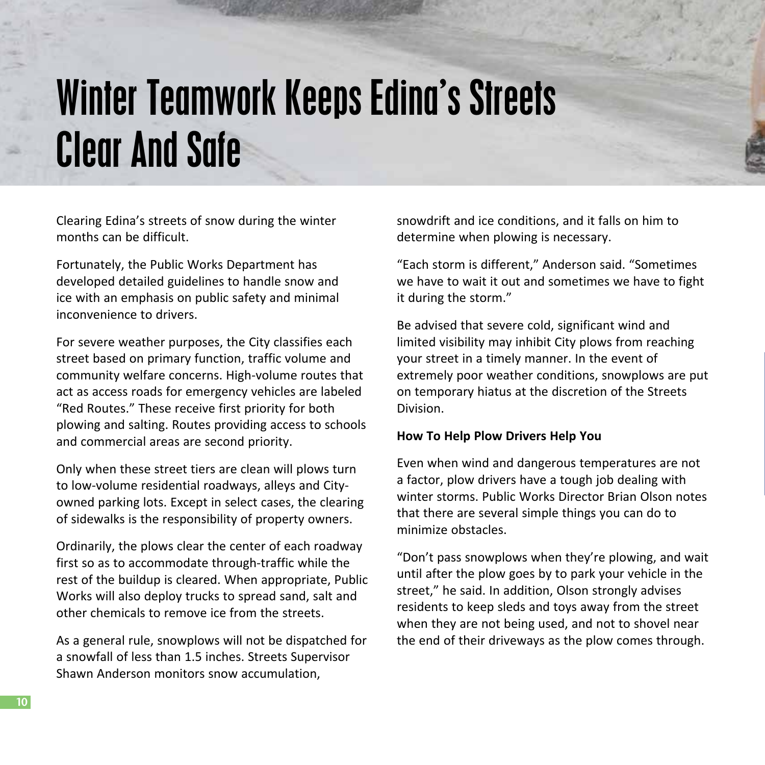### Winter Teamwork Keeps Edina's Streets Clear And Safe

Clearing Edina's streets of snow during the winter months can be difficult.

Fortunately, the Public Works Department has developed detailed guidelines to handle snow and ice with an emphasis on public safety and minimal inconvenience to drivers.

For severe weather purposes, the City classifies each street based on primary function, traffic volume and community welfare concerns. High-volume routes that act as access roads for emergency vehicles are labeled "Red Routes." These receive first priority for both plowing and salting. Routes providing access to schools and commercial areas are second priority.

Only when these street tiers are clean will plows turn to low-volume residential roadways, alleys and Cityowned parking lots. Except in select cases, the clearing of sidewalks is the responsibility of property owners.

Ordinarily, the plows clear the center of each roadway first so as to accommodate through-traffic while the rest of the buildup is cleared. When appropriate, Public Works will also deploy trucks to spread sand, salt and other chemicals to remove ice from the streets.

As a general rule, snowplows will not be dispatched for a snowfall of less than 1.5 inches. Streets Supervisor Shawn Anderson monitors snow accumulation,

snowdrift and ice conditions, and it falls on him to determine when plowing is necessary.

"Each storm is different," Anderson said. "Sometimes we have to wait it out and sometimes we have to fight it during the storm."

Be advised that severe cold, significant wind and limited visibility may inhibit City plows from reaching your street in a timely manner. In the event of extremely poor weather conditions, snowplows are put on temporary hiatus at the discretion of the Streets Division.

#### **How To Help Plow Drivers Help You**

Even when wind and dangerous temperatures are not a factor, plow drivers have a tough job dealing with winter storms. Public Works Director Brian Olson notes that there are several simple things you can do to minimize obstacles.

"Don't pass snowplows when they're plowing, and wait until after the plow goes by to park your vehicle in the street," he said. In addition, Olson strongly advises residents to keep sleds and toys away from the street when they are not being used, and not to shovel near the end of their driveways as the plow comes through.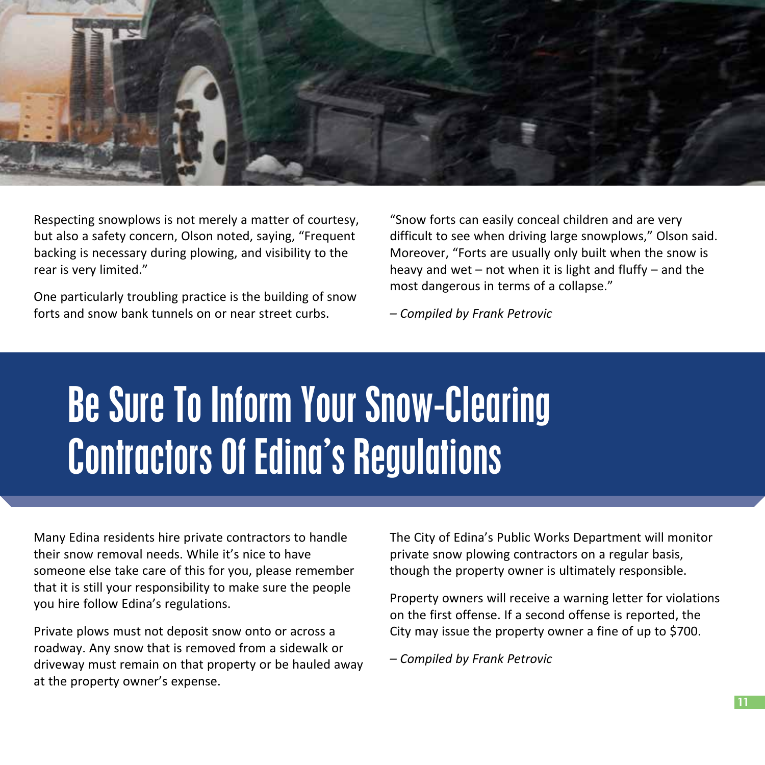

Respecting snowplows is not merely a matter of courtesy, but also a safety concern, Olson noted, saying, "Frequent backing is necessary during plowing, and visibility to the rear is very limited."

One particularly troubling practice is the building of snow forts and snow bank tunnels on or near street curbs.

"Snow forts can easily conceal children and are very difficult to see when driving large snowplows," Olson said. Moreover, "Forts are usually only built when the snow is heavy and wet – not when it is light and fluffy – and the most dangerous in terms of a collapse."

*– Compiled by Frank Petrovic*

### Be Sure To Inform Your Snow-Clearing Contractors Of Edina's Regulations

Many Edina residents hire private contractors to handle their snow removal needs. While it's nice to have someone else take care of this for you, please remember that it is still your responsibility to make sure the people you hire follow Edina's regulations.

Private plows must not deposit snow onto or across a roadway. Any snow that is removed from a sidewalk or driveway must remain on that property or be hauled away at the property owner's expense.

The City of Edina's Public Works Department will monitor private snow plowing contractors on a regular basis, though the property owner is ultimately responsible.

Property owners will receive a warning letter for violations on the first offense. If a second offense is reported, the City may issue the property owner a fine of up to \$700.

*– Compiled by Frank Petrovic*